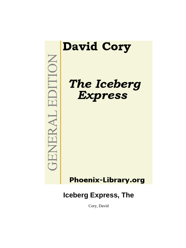

Cory, David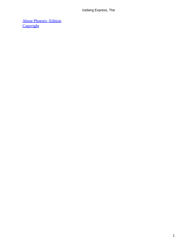[About Phoenix−Edition](#page-41-0) **[Copyright](#page-42-0)**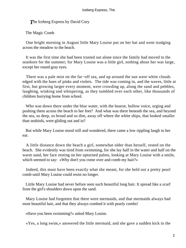**The Iceberg Express by David Cory** 

The Magic Comb

 One bright morning in August little Mary Louise put on her hat and went trudging across the meadow to the beach.

 It was the first time she had been trusted out alone since the family had moved to the seashore for the summer; for Mary Louise was a little girl, nothing about her was large, except her round gray eyes.

 There was a pale mist on the far−off sea, and up around the sun were white clouds edged with the hues of pinks and violets. The tide was coming in, and the waves, little at first, but growing larger every moment, were crowding up, along the sand and pebbles, laughing, winking and whispering, as they tumbled over each other, like thousands of children hurrying home from school.

 Who was down there under the blue water, with the hoarse, hollow voice, urging and pushing them across the beach to her feet? And what was there beneath the sea, and beyond the sea, so deep, so broad and so dim, away off where the white ships, that looked smaller than seabirds, were gliding out and in?

 But while Mary Louise stood still and wondered, there came a low rippling laugh to her ear.

 A little distance down the beach a girl, somewhat older than herself, rested on the beach. She evidently was tired from swimming, for she lay half in the water and half on the warm sand, her face resting on her upturned palms, looking at Mary Louise with a smile, which seemed to say: «Why don't you come over and comb my hair?»

 Indeed, this must have been exactly what she meant, for she held out a pretty pearl comb until Mary Louise could resist no longer.

 Little Mary Louise had never before seen such beautiful long hair. It spread like a scarf from the girl's shoulders down upon the sand.

 Mary Louise had forgotten that there were mermaids, and that mermaids always had most beautiful hair, and that they always combed it with pearly combs!

«Have you been swimming?» asked Mary Louise.

«Yes, a long swim,» answered the little mermaid, and she gave a sudden kick in the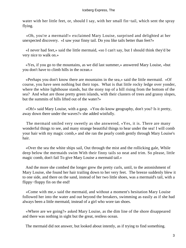water with her little feet, or, should I say, with her small fin−tail, which sent the spray flying.

 «Oh, you're a mermaid!» exclaimed Mary Louise, surprised and delighted at her unexpected discovery. «I saw your finny tail. Do you like tails better than feet?»

 «I never had feet,» said the little mermaid, «so I can't say, but I should think they'd be very nice to walk on.»

 «Yes, if you go to the mountains, as we did last summer,» answered Mary Louise, «but you don't have to climb hills in the ocean.»

 «Perhaps you don't know there are mountains in the sea,» said the little mermaid. «Of course, you have seen nothing but their tops. What is that little rocky ledge over yonder, where the white lighthouse stands, but the stony top of a hill rising from the bottom of the sea? And what are those pretty green islands, with their clusters of trees and grassy slopes, but the summits of hills lifted out of the water?»

 «Oh!» said Mary Louise, with a gasp. «You do know geography, don't you? Is it pretty, away down there under the waves?» she added wistfully.

 The mermaid smiled very sweetly as she answered, «Yes, it is. There are many wonderful things to see, and many strange beautiful things to hear under the sea! I will comb your hair with my magic comb,» and she ran the pearly comb gently through Mary Louise's hair.

 «Over the sea the white ships sail, Out through the mist and the rollicking gale, While deep below the mermaids swim With their finny tails so neat and trim. So please, little magic comb, don't fail To give Mary Louise a mermaid tail.»

 And the more she combed the longer grew the pretty curls, until, to the astonishment of Mary Louise, she found her hair trailing down to her very feet. The breeze suddenly blew it to one side, and there on the sand, instead of her two little shoes, was a mermaid's tail, with a flippy−floppy fin on the end!

 «Come with me,» said the mermaid, and without a moment's hesitation Mary Louise followed her into the water and out beyond the breakers, swimming as easily as if she had always been a little mermaid, instead of a girl who wore tan shoes.

 «Where are we going?» asked Mary Louise, as the dim line of the shore disappeared and there was nothing in sight but the great, restless ocean.

The mermaid did not answer, but looked about intently, as if trying to find something.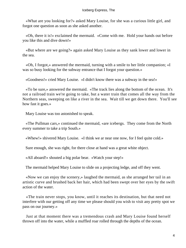«What are you looking for?» asked Mary Louise, for she was a curious little girl, and forgot one question as soon as she asked another.

 «Oh, there it is!» exclaimed the mermaid. «Come with me. Hold your hands out before you like this and dive down!»

 «But where are we going?» again asked Mary Louise as they sank lower and lower in the sea.

 «Oh, I forgot,» answered the mermaid, turning with a smile to her little companion; «I was so busy looking for the subway entrance that I forgot your question.»

«Goodness!» cried Mary Louise. «I didn't know there was a subway in the sea!»

 «To be sure,» answered the mermaid. «The track lies along the bottom of the ocean. It's not a railroad train we're going to take, but a water train that comes all the way from the Northern seas, sweeping on like a river in the sea. Wait till we get down there. You'll see how fast it goes.»

Mary Louise was too astonished to speak.

 «The Pullman cars,» continued the mermaid, «are icebergs. They come from the North every summer to take a trip South.»

«Whew!» shivered Mary Louise. «I think we ar near one now, for I feel quite cold.»

Sure enough, she was right, for there close at hand was a great white object.

«All aboard!» shouted a big polar bear. «Watch your step!»

The mermaid helped Mary Louise to slide on a projecting ledge, and off they went.

 «Now we can enjoy the scenery,» laughed the mermaid, as she arranged her tail in an artistic curve and brushed back her hair, which had been swept over her eyes by the swift action of the water.

 «The train never stops, you know, until it reaches its destination, but that need not interfere with our getting off any time we please should you wish to visit any pretty spot we pass on our journey.»

 Just at that moment there was a tremendous crash and Mary Louise found herself thrown off into the water, while a muffled roar rolled through the depths of the ocean.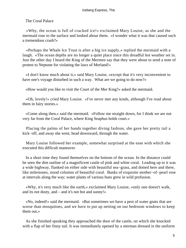The Coral Palace

 «Why, the ocean is full of cracked ice!» exclaimed Mary Louise, as she and the mermaid rose to the surface and looked about them. «I wonder what it was that caused such a tremendous crash?»

 «Perhaps the Whale Ice Trust is after a big ice supply,» replied the mermaid with a laugh. «The ocean depths are no longer a quiet place since this dreadful hot weather set in. Just the other day I heard the King of the Mermen say that they were about to send a note of protest to Neptune for violating the laws of Merland!»

 «I don't know much about it,» said Mary Louise, «except that it's very inconvenient to have one's voyage disturbed in such a way. What are we going to do now?»

«How would you like to visit the Court of the Mer King?» asked the mermaid.

 «Oh, lovely!» cried Mary Louise. «I've never met any kinds, although I've read about them in fairy stories.»

 «Come along then,» said the mermaid. «Follow me straight down, for I think we are not very far from the Coral Palace, where King Seaphus holds court.»

 Placing the palms of her hands together diving fashion, she gave her pretty tail a kick−off, and away she went, head downward, through the water.

 Mary Louise followed her example, somewhat surprised at the ease with which she executed this difficult maneuver.

 In a short time they found themselves on the bottom of the ocean. In the distance could be seen the dim outline of a magnificent castle of pink and white coral. Leading up to it was a wide highway, flanked on either side with beautiful sea−grass, and dotted here and there, like milestones, stood columns of beautiful coral. Banks of exquisite mother−of−pearl rose at intervals along the way; water plants of various hues grew in wild profusion.

 «Why, it's very much like the earth,» exclaimed Mary Louise, «only one doesn't walk, and its not dusty, and – and it's not hot and sunny!»

 «No, indeed!» said the mermaid. «But sometimes we have a pest of water gnats that are worse than mosquitoes, and we have to put up netting on our bedroom windows to keep them out.»

 As she finished speaking they approached the door of the castle, on which she knocked with a flap of her finny tail. It was immediately opened by a merman dressed in the uniform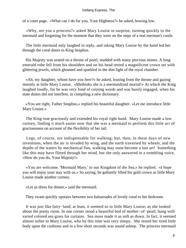of a court page. «What can I do for you, Your Highness?» he asked, bowing low.

 «Why, are you a princess?» asked Mary Louise in surprise, turning quickly to the mermaid and forgetting for the moment that they were on the steps of a real merman's castle.

 The little mermaid only laughed in reply, and taking Mary Louise by the hand led her through the coral doors to King Seaphus.

 His Majesty was seated on a throne of pearl, studded with many precious stones. A long emerald robe fell from his shoulders and on his head rested a magnificent crown set with glittering jewels, which gleamed and sparkled in the dim light of the royal chamber.

 «Ah, my daughter, whom have you here?» he asked, leaning from the throne and gazing intently at little Mary Louise. «Methinks she is a mermaidized mortal!» At which the King laughed loudly, for he was very fond of coining words and was busily engaged, when his state duties did not interfere, in compiling a new dictionary.

 «You are right, Father Seaphus,» replied his beautiful daughter. «Let me introduce little Mary Louise.»

 The King rose graciously and extended his royal right hand. Mary Louise made a low curtsey, finding it much easier now that she was a mermaid to perform this little act of graciousness on account of the flexibility of her tail.

 Legs, of course, are indispensable for walking; but, then, in these days of new inventions, when the air is invaded by wing, and the earth traversed by wheels, and the depths of the waters by mechanical fins, walking may soon become a lost art! Something like this may have flitted through her mind, but she only answered in a trembling voice, «How do you do, Your Majesty!»

 «You are welcome, 'Mermaid Mary,' to our Kingdom of the Sea,» he replied. «I hope you will enjoy your stay with us.» So saying, he gallantly lifted his gold crown as little Mary Louise made another curtsey.

«Let us dress for dinner,» said the mermaid.

They swam quickly upstairs between two balustrades of lovely coral to her bedroom.

 It was just like fairy−land; at least, it seemed so to little Mary Louise, as she looked about the pretty room. In one corner stood a beautiful bed of mother−of−pearl, hung with varied colored sea grass for curtains. Sea moss made it as soft as down. In fact, it seemed almost softer to Mary Louise, who by this time was very sleepy. She rested her tired little body upon the cushions and in a few short seconds was sound asleep. The princess mermaid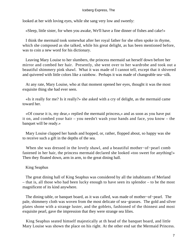looked at her with loving eyes, while she sang very low and sweetly:

«Sleep, little sister, for when you awake, We'll have a fine dinner of fishes and cake!»

 I think the mermaid took somewhat after her royal father for she often spoke in rhyme, which she composed as she talked, while his great delight, as has been mentioned before, was to coin a new word for his dictionary.

 Leaving Mary Louise to her slumbers, the princess mermaid sat herself down before her mirror and combed her hair. Presently, she went over to her wardrobe and took out a beautiful shimmery pink shawl. What it was made of I cannot tell, except that it shivered and quivered with little colors like a rainbow. Perhaps it was made of changeable sea−silk.

 At any rate, Mary Louise, who at that moment opened her eyes, thought it was the most exquisite thing she had ever seen.

 «Is it really for me? Is it really?» she asked with a cry of delight, as the mermaid came toward her.

 «Of course it is, my dear,» replied the mermaid princess,« and as soon as you have put it on, and combed your hair – you needn't wash your hands and face, you know – the banquet will be ready.»

 Mary Louise clapped her hands and hopped, or, rather, flopped about, so happy was she to receive such a gift in the depths of the sea.

 When she was dressed in the lovely shawl, and a beautiful mother−of−pearl comb fastened in her hair, the princess mermaid declared she looked «too sweet for anything!» Then they floated down, arm in arm, to the great dining hall.

## King Seaphus

 The great dining hall of King Seaphus was considered by all the inhabitants of Merland – that is, all those who had been lucky enough to have seen its splendor – to be the most magnificent of its kind anywhere.

 The dining table, or banquet board, as it was called, was made of mother−of−pearl. The pale, shimmery cloth was woven from the most delicate of sea−grasses. The gold and silver plates shone with a strange luster, and the goblets, fashioned of the thinnest and most exquisite pearl, gave the impression that they were strange sea lilies.

 King Seaphus seated himself majestically at th head of the banquet board, and little Mary Louise was shown the place on his right. At the other end sat the Mermaid Princess.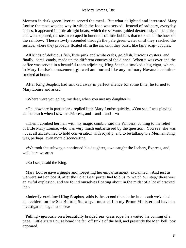Mermen in dark green liveries served the meal. But what delighted and interested Mary Louise the most was the way in which the food was served. Instead of ordinary, everyday dishes, it appeared in little airtight boats, which the servants guided dexterously to the table, and when opened, the steam escaped in hundreds of little bubbles that took on all the hues of the rainbow. These slowly ascended through the pale green water until they reached the surface, where they probably floated off in the air, until they burst, like fairy soap−bubbles.

 All kinds of delicious fish, little pink and white crabs, goldfish, luscious oysters, and, finally, coral−candy, made up the different courses of the dinner. When it was over and the coffee was served in a beautiful room adjoining, King Seaphus smoked a big cigar, which, to Mary Louise's amazement, glowed and burned like any ordinary Havana her father smoked at home.

 After King Seaphus had smoked away in perfect silence for some time, he turned to Mary Louise and asked:

«Where were you going, my dear, when you met my daughter?»

 «Oh, nowhere in particular,» replied little Mary Louise quickly. «You see, I was playing on the beach when I saw the Princess, and – and –  $-\infty$ 

 «Then I combed her hair with my magic comb,» said the Princess, coming to the relief of little Mary Louise, who was very much embarrassed by the question. You see, she was not at all accustomed to hold conversation with royalty, and to be talking to a Merman King was, perhaps, even more disconcerting.

 «We took the subway,» continued his daughter, «we caught the Iceberg Express, and, well, here we are.»

«So I see,» said the King.

 Mary Louise gave a giggle and, forgetting her embarrassment, exclaimed, «And just as we were safe on board, after the Polar Bear porter had told us to 'watch our step,' there was an awful explosion, and we found ourselves floating about in the midst of a lot of cracked ice.»

 «Indeed,» exclaimed King Seaphus, «this is the second time in the last month we've had an accident on the Sea Bottom Subway. I must call in my Prime Minister and have an investigation begun at once.»

 Pulling vigorously on a beautifully braided sea−grass rope, he awaited the coming of a page. Little Mary Louise heard the far−off tinkle of the bell, and presently the Mer−bell−boy appeared.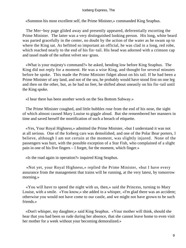«Summon his most excellent self, the Prime Minister,» commanded King Seaphus.

 The Mer−boy page glided away and presently appeared, deferentially escorting the Prime Minister. The latter was a very distinguished looking person. His long, white beard was parted gracefully in the center, no doubt by the action of the water as he swam up to where the King sat. As befitted so important an official, he was clad in a long, red robe, which reached nearly to the end of his fin−tail. His head was adorned with a crimson cap and tassel made of the softest velvet sea−grass.

 «What is your majesty's command?» he asked, bending low before King Seaphus. The King did not reply for a moment. He was a wise King, and thought for several minutes before he spoke. This made the Prime Minister fidget about on his tail. If he had been a Prime Minister of any land, and not of the sea, he probably would have stood first on one leg and then on the other, but, as he had no feet, he shifted about uneasily on his fin−tail until the King spoke.

«I hear there has been another wreck on the Sea Bottom Subway.»

 The Prime Minister coughed, and little bubbles rose from the end of his nose, the sight of which almost caused Mary Louise to giggle aloud. But she remembered her manners in time and saved herself the mortification of such a breach of etiquette.

 «Yes, Your Royal Highness,» admitted the Prime Minister, «but I understand it was not at all serious. One of the Iceberg cars was demolished, and one of the Polar Bear porters, I believe, although I am not certain at the moment, was slightly injured. None of the passengers was hurt, with the possible exception of a Star Fish, who complained of a slight pain in one of his five fingers – I forget, for the moment, which finger.»

«Is the road again in operation?» inquired King Seaphus.

 «Not yet, your Royal Highness,» replied the Prime Minister, «but I have every assurance from the management that trains will be running, at the very latest, by tomorrow morning.»

 «You will have to spend the night with us, then,» said the Princess, turning to Mary Louise, with a smile. «You know,» she added in a whisper, «I'm glad there was an accident; otherwise you would not have come to our castle, and we might not have grown to be such friends.»

 «Don't whisper, my daughter,» said King Seaphus. «Your mother will think, should she hear that you had been so rude during her absence, that she cannot leave home to even visit her mother for a week without your becoming demoralized.»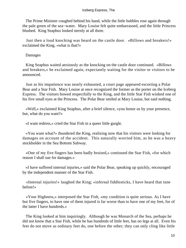The Prime Minister coughed behind his hand, while the little bubbles rose again through the pale green of the sea−water. Mary Louise felt quite embarrassed, and the little Princess blushed. King Seaphus looked sternly at all three.

 Just then a loud knocking was heard on the castle door. «Billows and breakers!» exclaimed the King, «what is that?»

### Damages

 King Seaphus waited anxiously as the knocking on the castle door continued. «Billows and breakers,» he exclaimed again, expectantly waiting for the visitor or visitors to be announced.

 Just as his impatience was nearly exhausted, a court page appeared escorting a Polar Bear and a Star Fish. Mary Louise at once recognized the former as the porter on the Iceberg Express. The visitors bowed respectfully to the King, and the little Star Fish winked one of his five small eyes at the Princess. The Polar Bear smiled at Mary Louise, but said nothing.

 «Well,» exclaimed King Seaphus, after a brief silence, «you honor us by your presence, but, what do you want?»

«I want redress,» cried the Star Fish in a queer little gurgle.

 «You want what?» thundered the King, realizing now that his visitors were looking for damages on account of the accident. This naturally worried him, as he was a heavy stockholder in the Sea Bottom Subway.

 «One of my five fingers has been badly bruised,» continued the Star Fish, «for which reason I shall sue for damages.»

 «I have suffered internal injuries,» said the Polar Bear, speaking up quickly, encouraged by the independent manner of the Star Fish.

 «Internal injuries!» laughed the King; «infernal fiddlesticks, I have heard that tune before!»

 «Your Highness,» interposed the Star Fish, «my condition is quite serious. As I have but five fingers, to have one of them injured is far worse than to have one of my feet, for of the latter I have hundreds.»

 The King looked at him inquiringly. Although he was Monarch of the Sea, perhaps he did not know that a Star Fish, while he has hundreds of little feet, has no legs at all. Even his feet do not move as ordinary feet do, one before the other; they can only cling like little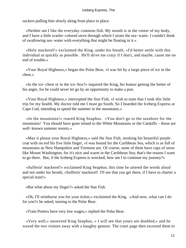suckers pulling him slowly along from place to place.

 «Neither am I like the everyday common fish. My mouth is in the center of my body, and I have a little scarlet−colored sieve through which I strain the sea−water. I couldn't think of swallowing sea−water with everything that might be floating in it.»

 «Holy mackerel!» exclaimed the King, under his breath, «I'd better settle with this individual as quickly as possible. He'll drive me crazy if I don't, and maybe, cause me no end of trouble.»

 «Your Royal Highness,» began the Polar Bear, «I was hit by a large piece of ice in the chest.»

 «In the ice−chest or in the ice−box?» inquired the King, his humor getting the better of his anger, for he could never let go by an opportunity to make a pun.

 «Your Royal Highness,» interrupted the Star Fish, «I wish to state that I took this little trip for my health. My doctor told me I must go South. So I boarded the Iceberg Express at Cape Cod, intending to spend the summer in the mountains.»

 «In the mountains!» roared King Seaphus. «You don't go to the seashore for the mountains! You should have gone inland to the White Mountains or the Catskills – those are well−known summer resorts.»

 «May it please your Royal Highness,» said the Star Fish, stroking his beautiful purple coat with on eof his five little finger, «I was bound for the Caribbean Sea, which is as full of mountains as New Hampshire and Vermont are. Of course, none of them have caps of snow like Mount Washington, for it's nice and warm in the Caribbean Sea; that's the reason I want to go there. But, if the Iceberg Express is wrecked, how am I to continue my journey?»

 «Sufferin' mackerel!» exclaimed King Seaphus; this time he uttered the words aloud and not under his breath, «Sufferin' mackerel! I'll see that you get there, if I have to charter a special train!»

«But what about my finger?» asked the Star Fish.

 «Oh, I'll reimburse you for your ticket,» exclaimed the King. «And now, what can I do for you?» he asked, turning to the Polar Bear.

«Train Porters have very low wages,» replied the Polar Bear.

 «Very well,» answered King Seaphus, « I will see that yours are doubled,» and he waved the two visitors away with a haughty gesture. The court page then escorted them to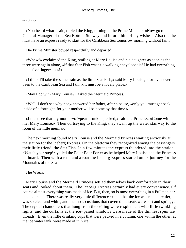the door.

 «You heard what I said,» cried the King, turning to the Prime Minister. «Now go to the General Manager of the Sea Bottom Subway and inform him of my wishes. Also that he must have an express ready to start for the Caribbean Sea tomorrow morning without fail.»

The Prime Minister bowed respectfully and departed.

 «Whew!» exclaimed the King, smiling at Mary Louise and his daughter as soon as the three were again alone, «if that Star Fish wasn't a walking encyclopedia! He had everything at his five finger−ends!»

 «I think I'll take the same train as the little Star Fish,» said Mary Louise, «for I've never been to the Caribbean Sea and I think it must be a lovely place.»

«May I go with Mary Louise?» asked the Mermaid Princess.

 «Well, I don't see why not,» answered her father, after a pause, «only you must get back inside of a fortnight, for your mother will be home by that time.»

 «I must see that my mother−of−pearl trunk is packed,» said the Princess. «Come with me, Mary Louise.» Then curtseying to the King, they swam up the water stairway to the room of the little mermaid.

 The next morning found Mary Louise and the Mermaid Princess waiting anxiously at the station for the Iceberg Express. On the platform they recognized among the passengers their little friend, the Star Fish. In a few minutes the express thundered into the station. «Watch your step!» yelled the Polar Bear Porter as he helped Mary Louise and the Princess on board. Then with a rush and a roar the Iceberg Express started on its journey for the Mountains of the Sea!

The Wreck

 Mary Louise and the Mermaid Princess settled themselves back comfortably in their seats and looked about them. The Iceberg Express certainly had every convenience. Of course almost everything was made of ice. But, then, so is most everything in a Pullman car made of steel. There was really very little difference except that the ice was much prettier, it was so clear and white, and the moss cushions that covered the seats were soft and springy. The crystal chandeliers that hung from the ceiling were resplendent with little twinkling lights, and the curtains at the ice−paned windows were made of the thinnest spun ice threads. Even the little drinking cups that were packed in a column, one within the other, at the ice water tank, were made of thin ice.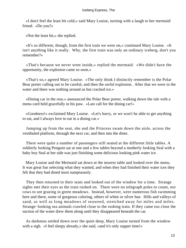«I don't feel the least bit cold,» said Mary Louise, turning with a laugh to her mermaid friend. «Do you?»

«Not the least bit,» she replied.

 «It's so different, though, from the first train we were on,» continued Mary Louise. «It isn't anything like it really. Why, the first train was only an ordinary iceberg, don't you remember?»

 «That's because we never went inside,» replied the mermaid. «We didn't have the opportunity, the explosion came so soon.»

 «That's so,» agreed Mary Louise. «The only think I distinctly remember is the Polar Bear porter calling out to be careful, and then the awful explosion. After that we were in the water and there was nothing around us but cracked ice.»

 «Dining car in the rear,» announced the Polar Bear porter, walking down the isle with a menu card held gracefully in his paw. «Last call for the dining car!»

 «Goodness!» exclaimed Mary Louise. «Let's hurry, or we won't be able to get anything to eat, and I always love to eat in a dining car.»

 Jumping up from the seat, she and the Princess swam down the aisle, across the vestibuled platform, through the next car, and then into the diner.

 There were quite a number of passengers still seated at the different little tables. A soldierly looking Penguin sat at one and a few tables beyond a motherly looking Seal with a baby boy Seal at her side was just finishing some delicious looking pink water ice.

 Mary Louise and the Mermaid sat down at the nearest table and looked over the menu. It was great fun selecting what they wanted, and when they had finished their water ices they felt that they had dined most sumptuously.

 They then returned to their seats and looked out of the window for a time. Strange sights met their eyes as the train rushed on. There were no telegraph poles to count, nor cows to see grazing in green meadows. Instead, however, were numerous fish swimming here and there, some of gorgeous coloring, others of white or silver hue. Hills and valleys of sand, as well as long meadows of seaweed, stretched away for miles and miles. Strange−looking sea animals crawled close to the rushing train. If they came too close the suction of the water drew them along until they disappeared beneath the car.

 As darkness settled down over the quiet deep, Mary Louise turned from the window with a sigh. «I feel sleepy already,» she said, «and it's only supper time!»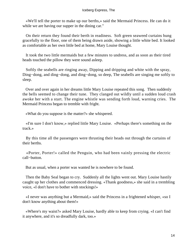«We'll tell the porter to make up our berths,» said the Mermaid Princess. He can do it while we are having our supper in the dining car."

 On their return they found their berth in readiness. Soft green seaweed curtains hung gracefully to the floor, one of them being drawn aside, showing a little white bed. It looked as comfortable as her own little bed at home, Mary Louise thought.

 It took the two little mermaids but a few minutes to undress, and as soon as their tired heads touched the pillow they were sound asleep.

 Softly the seabells are ringing away, Dipping and dripping and white with the spray, Ding−dong, and ding−dong, and ding−dong, so deep, The seabells are singing me softly to sleep.

 Over and over again in her dreams little Mary Louise repeated this song. Then suddenly the bells seemed to change their tune. They clanged out wildly until a sudden loud crash awoke her with a start. The engine whistle was sending forth loud, warning cries. The Mermaid Princess began to tremble with fright.

«What do you suppose is the matter?» she whispered.

 «I'm sure I don't know,» replied little Mary Louise. «Perhaps there's something on the track.»

 By this time all the passengers were thrusting their heads out through the curtains of their berths.

 «Porter, Porter!» called the Penguin, who had been vainly pressing the electric call−button.

But as usual, when a porter was wanted he is nowhere to be found.

 Then the Baby Seal began to cry. Suddenly all the lights went out. Mary Louise hastily caught up her clothes and commenced dressing. «Thank goodness,» she said in a trembling voice, «I don't have to bother with stockings!»

 «I never was anything but a Mermaid,» said the Princess in a frightened whisper, «so I don't know anything about them!»

 «Where's my waist?» asked Mary Louise, hardly able to keep from crying. «I can't find it anywhere, and it's so dreadfully dark, too.»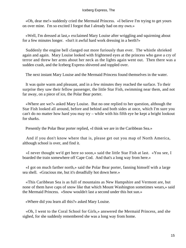«Oh, dear me!» suddenly cried the Mermaid Princess. «I believe I'm trying to get yours on over mine. I'm so excited I forgot that I already had on my own.»

 «Well, I'm dressed at last,» exclaimed Mary Louise after wriggling and squirming about for a few minutes longer. «Isn't it awful hard work dressing in a berth?»

 Suddenly the engine bell clanged out more furiously than ever. The whistle shrieked again and again. Mary Louise looked with frightened eyes at the princess who gave a cry of terror and threw her arms about her neck as the lights again went out. Then there was a sudden crash, and the Iceberg Express shivered and toppled over.

The next instant Mary Louise and the Mermaid Princess found themselves in the water.

 It was quite warm and pleasant, and in a few minutes they reached the surface. To their surprise they saw their fellow passenger, the little Star Fish, swimming near them, and not far away, on a piece of ice, the Polar Bear porter.

 «Where are we?» asked Mary Louise. But no one replied to her question, although the Star Fish looked all around, before and behind and both sides at once, which I'm sure you can't do no matter how hard you may try – while with his fifth eye he kept a bright lookout for sharks.

Presently the Polar Bear porter replied, «I think we are in the Caribbean Sea.»

 And if you don't know where that is, please get out you map of North America, although school is over, and find it.

 «I never thought we'd get here so soon,» said the little Star Fish at last. «You see, I boarded the train somewhere off Cape Cod. And that's a long way from here.»

 «I got on much farther north,» said the Polar Bear porter, fanning himself with a large sea shell. «Gracious me, but it's dreadfully hot down here.»

 «This Caribbean Sea is as full of mountains as New Hampshire and Vermont are, but none of them have caps of snow like that which Mount Washington sometimes wears,» said the Mermaid Princess. «Snow wouldn't last a second under this hot sun.»

«Where did you learn all this?» asked Mary Louise.

 «Oh, I went to the Coral School for Girls,» answered the Mermaid Princess, and she sighed, for she suddenly remembered she was a long way from home.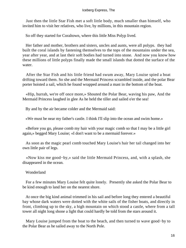Just then the little Star Fish met a soft little body, much smaller than himself, who invited him to visit her relatives, who live, by millions, in this mountain region.

So off they started for Coraltown, where this little Miss Polyp lived.

 Her father and mother, brothers and sisters, uncles and aunts, were all polyps. they had built the coral islands by fastening themselves to the tops of the mountains under the sea, year after year, and at last their soft bodies had turned into stone. And now you know how these millions of little polyps finally made the small islands that dotted the surface of the water.

 After the Star Fish and his little friend had swum away, Mary Louise spied a boat drifting toward them. So she and the Mermaid Princess scrambled inside, and the polar Bear porter hoisted a sail, which he found wrapped around a mast in the bottom of the boat.

 «Hip, hurrah, we're off once more,» Shouted the Polar Bear, waving his paw, And the Mermaid Princess laughed in glee As he held the tiller and sailed o'er the sea!

By and by the air became colder and the Mermaid said:

«We must be near my father's castle. I think I'll slip into the ocean and swim home.»

 «Before you go, please comb my hair with your magic comb so that I may be a little girl again,» begged Mary Louise; «I don't want to be a mermaid forever.»

 As soon as the magic pearl comb touched Mary Louise's hair her tail changed into her own little pair of legs.

 «Now kiss me good−by,» said the little Mermaid Princess, and, with a splash, she disappeared in the ocean.

## Wonderland

 For a few minutes Mary Louise felt quite lonely. Presently she asked the Polar Bear to be kind enough to land her on the nearest shore.

 At once the big kind animal trimmed in his sail and before long they entered a beautiful bay whose dark waters were dotted with the white sails of the fisher boats, and directly in front, climbing up to the sky, a high mountain on which stood a castle, where from a tall tower all night long shone a light that could hardly be told from the stars around it.

 Mary Louise jumped from the boat to the beach, and then turned to wave good−by to the Polar Bear as he sailed away to the North Pole.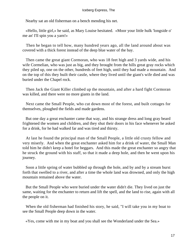Nearby sat an old fisherman on a bench mending his net.

 «Hello, little girl,» he said, as Mary Louise hesitated. «Moor your little hulk 'longside o' me an' I'll spin you a yarn!»

 Then he began to tell how, many hundred years ago, all the land around about was covered with a thick forest instead of the deep blue water of the bay.

 Then came the great giant Cormoran, who was 18 feet high and 3 yards wide, and his wife Cormelian, who was just as big, and they brought from the hills great gray rocks which they piled up, one on the other, hundreds of feet high, until they had made a mountain. And on the top of this they built their castle, where they lived until the giant's wife died and was buried under the Chapel rock.

 Then Jack the Giant Killer climbed up the mountain, and after a hard fight Cormoran was killed, and there were no more giants in the land.

 Next came the Small People, who cut down most of the forest, and built cottages for themselves, ploughed the fields and made gardens.

 But one day a great enchanter came that way, and his strange dress and long gray beard frightened the women and children, and they shut their doors in his face whenever he asked for a drink, for he had walked far and was tired and thirsty.

 At last he found the principal man of the Small People, a little old crusty fellow and very miserly. And when the great enchanter asked him for a drink of water, the Small Man told him he didn't keep a hotel for beggars. And this made the great enchanter so angry that he struck the ground with his staff, so that it made a deep hole, and then he went upon his journey.

 Soon a little spring of water bubbled up through the hole, and by and by a stream burst forth that swelled to a river, and after a time the whole land was drowned, and only the high mountain remained above the water.

 But the Small People who were buried under the water didn't die. They lived on just the same, waiting for the enchanter to return and lift the spell, and the land to rise, again with all the people on it.

 When the old fisherman had finished his story, he said, "I will take you in my boat to see the Small People deep down in the water.

«Yes, come with me in my boat and you shall see the Wonderland under the Sea.»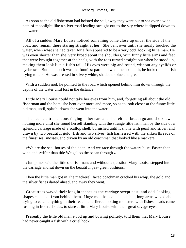As soon as the old fisherman had hoisted the sail, away they went out to sea over a wide path of moonlight like a silver road leading straight out to the sky where it dipped down to the water.

 All of a sudden Mary Louise noticed something come close up under the side of the boat, and remain there staring straight at her. She bent over until she nearly touched the water, when what she had taken for a fish appeared to be a very odd−looking little man. He was even shorter than she, very broad about the shoulders, with funny little arms and feet that were brought together at the heels, with the toes turned straight out when he stood up, making them look like a fish's tail. His eyes were big and round, without any eyelids or eyebrows. But his mouth was the funniest part, and when he opened it, he looked like a fish trying to talk. He was dressed in silvery white, shaded to blue and green.

 With a sudden nod, he pointed to the road which opened behind him down through the depths of the water until lost in the distance.

 Little Mary Louise could not take her eyes from him, and, forgetting all about the old fisherman and the boat, she bent over more and more, so as to look closer at the funny little old man, until, splash! down she went into the water.

 Then came a tremendous ringing in her ears and she felt her breath go and she knew nothing more until she found herself standing with the strange little fish man by the side of a splendid carriage made of a scallop shell, burnished until it shone with pearl and silver, and drawn by two beautiful gold−fish and two silver−fish harnessed with the silken threads of the finest sea−mosses, and driven by an old coachman that looked like a mackerel.

 «We are the sea−horses of the deep, And we race through the waters blue, Faster than wind and swifter than tide We gallop the ocean through.»

 «Jump in,» said the little old fish man; and without a question Mary Louise stepped into the carriage and sat down on the beautiful pea−green cushions.

 Then the little man got in, the mackerel−faced coachman cracked his whip, the gold and the silver fishes darted ahead, and away they went.

 Great trees waved their long branches as the carriage swept past, and odd−looking shapes came out from behind them. Huge mouths opened and shut, long arms waved about trying to catch anything in their reach, and fierce looking monsters with fishes' heads came rushing in from all sides, to stare at little Mary Louise with their great savage eyes.

 Presently the little old man stood up and bowing politely, told them that Mary Louise had never caught a fish with a cruel hook.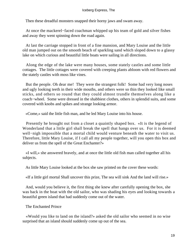Then these dreadful monsters snapped their horny jaws and swam away.

 At once the mackerel−faced coachman whipped up his team of gold and silver fishes and away they went spinning down the road again.

 At last the carriage stopped in front of a fine mansion, and Mary Louise and the little old man jumped out on the smooth beach of sparkling sand which sloped down to a glassy lake on which curious and beautiful little boats were sailing in all directions.

 Along the edge of the lake were many houses, some stately castles and some little cottages. The little cottages were covered with creeping plants abloom with red flowers and the stately castles with moss like vines.

 But the people. Oh dear me! They were the strangest folk! Some had very long noses and ugly looking teeth in their wide mouths, and others were so thin they looked like small sticks, and others so round that they could almost trundle themselves along like a coach−wheel. Some were dressed in the shabbiest clothes, others in splendid suits, and some covered with knobs and spikes and strange looking armor.

«Come,» said the little fish man, and he led Mary Louise into his house.

 Presently he brought out from a closet a quaintly shaped box. «It is the legend of Wonderland that a little girl shall break the spell that hangs over us. For it is deemed well−nigh impossible that a mortal child would venture beneath the water to visit us. Therefore, little Mary Louise, if I call all my people together, will you open this box and deliver us from the spell of the Great Enchanter?»

 «I will,» she answered bravely, and at once the little old fish man called together all his subjects.

As little Mary Louise looked at the box she saw printed on the cover these words:

«If a little girl mortal Shall uncover this prize, The sea will sink And the land will rise.»

 And, would you believe it, the first thing she knew after carefully opening the box, she was back in the boat with the old sailor, who was shading his eyes and looking towards a beautiful green island that had suddenly come out of the water.

The Enchanted Prince

 «Would you like to land on the island?» asked the old sailor who seemed in no wise surprised that an island should suddenly come up out of the sea.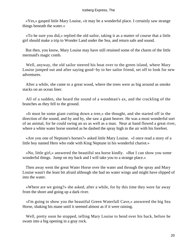«Yes,» gasped little Mary Louise, «it may be a wonderful place. I certainly saw strange things beneath the water.»

 «To be sure you did,» replied the old sailor, taking it as a matter of course that a little girl should make a trip to Wonder Land under the Sea, and return safe and sound.

 But then, you know, Mary Louise may have still retained some of the charm of the little mermaid's magic comb.

 Well, anyway, the old sailor steered his boat over to the green island, where Mary Louise jumped out and after saying good−by to her sailor friend, set off to look for new adventures.

 After a while, she came to a great wood, where the trees were as big around as smoke stacks on an ocean liner.

 All of a sudden, she heard the sound of a woodman's ax, and the crackling of the branches as they fell to the ground.

 «It must be some giant cutting down a tree,» she thought, and she started off in the direction of the sound, and by and by, she saw a giant beaver. He was a most wonderful sort of an animal, for he could swing an ax as well as a man. Near at hand flowed a great river, where a white water horse snorted as he dashed the spray high in the air with his forefeet.

 «Are you one of Neptune's horses?» asked little Mary Louise. «I once read a story of a little boy named Hero who rode with King Neptune in his wonderful chariot.»

 «No, little girl,» answered the beautiful sea horse kindly. «But I can show you some wonderful things. Jump on my back and I will take you to a strange place.»

 Then away went the great Water Horse over the water and through the spray and Mary Louise wasn't the least bit afraid although she had no water wings and might have slipped of into the water.

 «Where are we going?» she asked, after a while, for by this time they were far away from the shore and going up a dark river.

 «I'm going to show you the beautiful Green Waterfall Cave,» answered the big Sea Horse, shaking his mane until it seemed almost as if it were raining.

 Well, pretty soon he stopped, telling Mary Louise to bend over his back, before he swam into a big opening in a gray rock.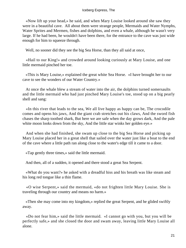«Now lift up your head,» he said, and when Mary Louise looked around she saw they were in a beautiful cave. All about them were strange people, Mermaids and Water Nymphs, Water Sprites and Mermen, fishes and dolphins, and even a whale, although he wasn't very large. If he had been, he wouldn't have been there, for the entrance to the cave was just wide enough for him to squeeze through.

Well, no sooner did they see the big Sea Horse, than they all said at once,

 «Hail to our King!» and crowded around looking curiously at Mary Louise, and one little mermaid pinched her toe.

 «This is Mary Louise,» explained the great white Sea Horse. «I have brought her to our cave to see the wonders of our Water Country.»

 At once the whale blew a stream of water into the air, the dolphins turned somersaults and the little mermaid who had just pinched Mary Louise's toe, stood up on a big pearly shell and sang:

 «In this river that leads to the sea, We all live happy as happy can be, The crocodile comes and opens his jaws, And the giant crab stretches out his claws, And the sword fish chases the sharp toothed shark, But here we are safe when the day grows dark, And the pale white moon looks down from the sky, And the little star winks her golden eye.»

 And when she had finished, she swam up close to the big Sea Horse and picking up Mary Louise placed her in a great shell that sailed over the water just like a boat to the end of the cave where a little path ran along close to the water's edge till it came to a door.

«Tap gently three times,» said the little mermaid.

And then, all of a sudden, it opened and there stood a great Sea Serpent.

 «What do you want?» he asked with a dreadful hiss and his breath was like steam and his long red tongue like a thin flame.

 «O wise Serpent,» said the mermaid, «do not frighten little Mary Louise. She is traveling through our country and means no harm.»

 «Then she may come into my kingdom,» replied the great Serpent, and he glided swiftly away.

 «Do not fear him,» said the little mermaid. «I cannot go with you, but you will be perfectly safe,» and she closed the door and swam away, leaving little Mary Louise all alone.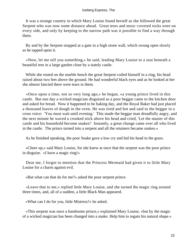It was a strange country in which Mary Louise found herself as she followed the great Serpent who was now some distance ahead. Great trees and moss−covered rocks were on every side, and only by keeping to the narrow path was it possible to find a way through them.

 By and by the Serpent stopped at a gate in a high stone wall, which swung open slowly as he tapped upon it.

 «Now, let me tell you something,» he said, leading Mary Louise to a seat beneath a beautiful tree in a large garden close by a stately castle.

 While she rested on the marble bench the great Serpent coiled himself in a ring, his head raised about two feet above the ground. He had wonderful black eyes and as he looked at her she almost fancied there were tears in them.

 «Once upon a time, not so very long ago,» he began, «a young prince lived in this castle. But one day a wicked magician disguised as a poor beggar came to the kitchen door and asked for bread. Now it happened to be baking day, and the Royal Baker had just placed a thousand loaves of dough in the oven. He was tired and hot and said to the beggar in a cross voice: 'You must wait until evening.' This made the beggar man dreadfully angry, and the next minute he waved a crooked stick above his head and cried, 'Let the master of this castle and his household become snakes!' Instantly, a great change came over all who lived in the castle. The prince turned into a serpent and all the retainers became snakes.»

As he finished speaking, the poor Snake gave a low cry and hid his head in the grass.

 «Cheer up,» said Mary Louise, for she knew at once that the serpent was the poor prince in disguise. «I have a magic ring!»

 Dear me, I forgot to mention that the Princess Mermaid had given it to little Mary Louise for a charm against evil.

«But what can that do for me?» asked the poor serpent prince.

 «Leave that to me,» replied little Mary Louise, and she turned the magic ring around three times, and, all of a sudden, a little Black Man appeared.

«What can I do for you, little Mistress?» he asked.

 «This serpent was once a handsome prince,» explained Mary Louise, «but by the magic of a wicked magician has been changed into a snake. Help him to regain his natural shape.»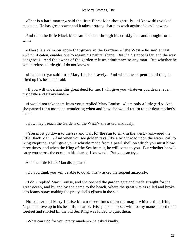«That is a hard matter,» said the little Black Man thoughtfully. «I know this wicked magician. He has great power and it takes a strong charm to work against his evil power.»

 And then the little Black Man ran his hand through his crinkly hair and thought for a while.

 «There is a crimson apple that grows in the Gardens of the West,» he said at last, «which if eaten, enables one to regain his natural shape. But the distance is far, and the way dangerous. And the owner of the garden refuses admittance to any man. But whether he would refuse a little girl, I do not know.»

 «I can but try,» said little Mary Louise bravely. And when the serpent heard this, he lifted up his head and said:

 «If you will undertake this great deed for me, I will give you whatever you desire, even my castle and all my lands.»

 «I would not take them from you,» replied Mary Louise. «I am only a little girl.» And she paused for a moment, wondering when and how she would return to her dear mother's home.

«How may I reach the Gardens of the West?» she asked anxiously.

 «You must go down to the sea and wait for the sun to sink in the west,» answered the little Black Man. «And when you see golden rays, like a bright road upon the water, call to King Neptune. I will give you a whistle made from a pearl shell on which you must blow three times, and when the King of the Sea hears it, he will come to you. But whether he will carry you across the ocean in his chariot, I know not. But you can try.»

And the little Black Man disappeared.

«Do you think you will be able to do all this?» asked the serpent anxiously.

 «I do,» replied Mary Louise, and she opened the garden gate and made straight for the great ocean, and by and by she came to the beach, where the great waves rolled and broke into foamy spray making the pretty shells glisten in the sun.

 No sooner had Mary Louise blown three times upon the magic whistle than King Neptune drove up in his beautiful chariot. His splendid horses with foamy manes raised their forefeet and snorted till the old Sea King was forced to quiet them.

«What can I do for you, pretty maiden?» he asked kindly.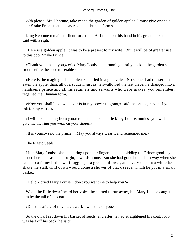«Oh please, Mr. Neptune, take me to the garden of golden apples. I must give one to a poor Snake Prince that he may regain his human form.»

 King Neptune remained silent for a time. At last he put his hand in his great pocket and said with a sigh:

 «Here is a golden apple. It was to be a present to my wife. But it will be of greater use to this poor Snake Prince.»

 «Thank you, thank you,» cried Mary Louise, and running hastily back to the garden she stood before the poor miserable snake.

 «Here is the magic golden apple,» she cried in a glad voice. No sooner had the serpent eaten the apple, than, all of a sudden, just as he swallowed the last piece, he changed into a handsome prince and all his retainers and servants who were snakes, you remember, regained their human form.

 «Now you shall have whatever is in my power to grant,» said the prince, «even if you ask for my castle.»

 «I will take nothing from you,» replied generous little Mary Louise, «unless you wish to give me the ring you wear on your finger.»

«It is yours,» said the prince. «May you always wear it and remember me.»

The Magic Seeds

 Little Mary Louise placed the ring upon her finger and then bidding the Prince good−by turned her steps as she thought, towards home. But she had gone but a short way when she came to a funny little dwarf tugging at a great sunflower, and every once in a while he'd shake the stalk until down would come a shower of black seeds, which he put in a small basket.

«Hello,» cried Mary Louise, «don't you want me to help you?»

 When the little dwarf heard her voice, he started to run away, but Mary Louise caught him by the tail of his coat.

«Don't be afraid of me, little dwarf, I won't harm you.»

 So the dwarf set down his basket of seeds, and after he had straightened his coat, for it was half off his back, he said: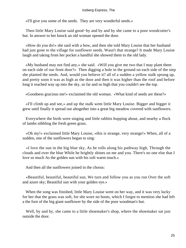«I'll give you some of the seeds. They are very wonderful seeds.»

 Then little Mary Louise said good−by and by and by she came to a poor woodcutter's hut. In answer to her knock an old woman opened the door.

 «How do you do!» she said with a bow, and then she told Mary Louise that her husband had just gone to the village for sunflower seeds. Wasn't that strange? It made Mary Louise laugh and taking from her pocket a handful she showed them to the old lady.

 «My husband may not find any,» she said. «Will you give me two that I may plant them on each side of our front door?» Then digging a hole in the ground on each side of the step she planted the seeds. And, would you believe it? all of a sudden a yellow stalk sprung up, and pretty soon it was as high as the door and then it was higher than the roof and before long it reached way up into the sky, so far and so high that you couldn't see the top.

«Goodness gracious me!» exclaimed the old woman. «What kind of seeds are these?»

 «I'll climb up and see,» and up the stalk went little Mary Louise. Bigger and bigger it grew until finally it spread out altogether into a great big meadow covered with sunflowers.

 Everywhere the birds were singing and little rabbits hopping about, and nearby a flock of lambs nibbling the fresh green grass.

 «Oh my!» exclaimed little Mary Louise, «this is strange, very strange!» When, all of a sudden, one of the sunflowers began to sing:

 «I love the sun in the big blue sky, As he rolls along his pathway high, Through the clouds and over the blue While he brightly shines on me and you. There's no one else that I love so much As the golden sun with his soft warm touch.»

And then all the sunflowers joined in the chorus:

 «Beautiful, beautiful, beautiful sun, We turn and follow you as you run Over the soft and azure sky; Beautiful sun with your golden eye.»

 When the song was finished, little Mary Louise went on her way, and it was very lucky for her that the grass was soft, for she wore no boots, which I forgot to mention she had left a the foot of the big giant sunflower by the side of the poor woodman's hut.

 Well, by and by, she came to a little shoemaker's shop, where the shoemaker sat just outside the door.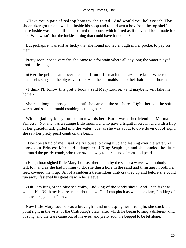«Have you a pair of red top boots?» she asked. And would you believe it? That shoemaker got up and walked inside his shop and took down a box from the top shelf, and there inside was a beautiful pair of red top boots, which fitted as if they had been made for her. Well wasn't that the luckiest thing that could have happened?

 But perhaps it was just as lucky that she found money enough in her pocket to pay for them.

 Pretty soon, not so very far, she came to a fountain where all day long the water played a soft little song:

 «Over the pebbles and over the sand I run till I reach the sea−shore land, Where the pink shells sing and the big waves roar, And the mermaids comb their hair on the shore.»

 «I think I'll follow this pretty book,» said Mary Louise, «and maybe it will take me home.»

 She ran along its mossy banks until she came to the seashore. Right there on the soft warm sand sat a mermaid combing her long hair.

 With a glad cry Mary Louise ran towards her. But it wasn't her friend the Mermaid Princess. No, she was a strange little mermaid, who gave a frightful scream and with a flop of her graceful tail, glided into the water. Just as she was about to dive down out of sight, she saw her pretty pearl comb on the beach.

 «Don't be afraid of me,» said Mary Louise, picking it up and leaning over the water. «I know your Princess Mermaid – daughter of King Seaphus,» and she handed the little mermaid the pearly comb, who then swam away to her island of coral and pearl.

 «Heigh ho,» sighed little Mary Louise, «here I am by the sad sea waves with nobody to talk to,» and as she had nothing to do, she dug a hole in the sand and thrusting in both her feet, covered them up. All of a sudden a tremendous crab crawled up and before she could run away, fastened his great claw in her sleeve.

 «Oh I am king of the blue sea crabs, And king of the sandy shore, And I can fight as well as bite With my big tre−men−dous claw. Oh, I can pinch as well as a clam, I'm king of all pinchers, you bet I am.»

 Now little Mary Louise was a brave girl, and unclasping her breastpin, she stuck the point right in the wrist of the Crab King's claw, after which he began to sing a different kind of song, and the tears came out of his eyes, and pretty soon he begged to be let alone.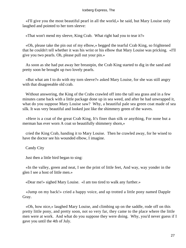«I'll give you the most beautiful pearl in all the world,» he said, but Mary Louise only laughed and pointed to her torn sleeve:

«That won't mend my sleeve, King Crab. What right had you to tear it?»

 «Oh, please take the pin out of my elbow,» begged the tearful Crab King, so frightened that he couldn't tell whether it was his wrist or his elbow that Mary Louise was pricking. «I'll give you two pearls. Oh, please pull out your pin.»

 As soon as she had put away her breastpin, the Crab King started to dig in the sand and pretty soon he brought up two lovely pearls.

 «But what am I to do with my torn sleeve?» asked Mary Louise, for she was still angry with that disagreeable old crab.

 Without answering, the King of the Crabs crawled off into the tall sea grass and in a few minutes came back with a little package done up in sea weed, and after he had unwrapped it, what do you suppose Mary Louise saw? Why, a beautiful pale sea green coat made of sea silk. It was very beautiful and looked just like the shimmery green of the waves.

 «Here is a coat of the great Crab King, It's finer than silk or anything, For none but a merman has ever worn A coat so beautifully shimmery shorn,»

 cried the King Crab, handing it to Mary Louise. Then he crawled away, for he wised to have the doctor see his wounded elbow, I imagine.

Candy City

Just then a little bird began to sing:

 «In the valley, green and neat, I see the print of little feet, And way, way yonder in the glen I see a host of little men.»

«Dear me!» sighed Mary Louise. «I am too tired to walk any further.»

 «Jump on my back!» cried a happy voice, and up trotted a little pony named Dapple Gray.

 «Oh, how nice,» laughed Mary Louise, and climbing up on the saddle, rode off on this pretty little pony, and pretty soon, not so very far, they came to the place where the little men were at work. And what do you suppose they were doing. Why, you'd never guess if I gave you until the 4th of July.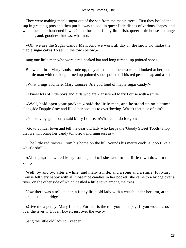They were making maple sugar out of the sap from the maple trees. First they boiled the sap in great big pots and then put it away to cool in queer little dishes of various shapes, and when the sugar hardened it was in the forms of funny little fish, queer little houses, strange animals, and, goodness knows, what not.

 «Oh, we are the Sugar Candy Men, And we work all day in the snow To make the maple sugar cakes To sell in the town below,»

sang one little man who wore a red peaked hat and long turned−up pointed shoes.

 But when little Mary Louise rode up, they all stopped their work and looked at her, and the little man with the long turned up pointed shoes pulled off his red peaked cap and asked:

«What brings you here, Mary Louise? Are you fond of maple sugar candy?»

«I know lots of little boys and girls who are,» answered Mary Louise with a smile.

 «Well, hold open your pockets,» said the little man, and he stood up on a stump alongside Dapple Gray and filled her pockets to overflowing. Wasn't that nice of him?

«You're very generous,» said Mary Louise. «What can I do for you?»

 "Go to yonder town and tell the dear old lady who keeps the 'Goody Sweet Tooth−Shop' that we will bring her candy tomorrow morning just as –

 «The little red rooster From his home on the hill Sounds his merry cock−a−doo Like a whistle shrill.»

 «All right,» answered Mary Louise, and off she went to the little town down in the valley.

 Well, by and by, after a while, and many a mile, and a song and a smile, for Mary Louise felt very happy with all those nice candies in her pocket, she came to a bridge over a river, on the other side of which nestled a little town among the trees.

 Now there was a toll keeper, a funny little old lady with a crutch under her arm, at the entrance to the bridge.

 «Give me a penny, Mary Louise, For that is the toll you must pay, If you would cross over the river to Dover, Dover, just over the way.»

Sang the little old lady toll keeper.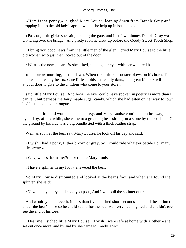«Here is the penny,» laughed Mary Louise, leaning down from Dapple Gray and dropping it into the old lady's apron, which she help up in both hands.

 «Pass on, little girl,» she said, opening the gate, and in a few minutes Dapple Gray was clattering over the bridge. And pretty soon he drew up before the Goody Sweet Tooth Shop.

 «I bring you good news from the little men of the glen,» cried Mary Louise to the little old woman who just then looked out of the door.

«What is the news, dearie?» she asked, shading her eyes with her withered hand.

 «Tomorrow morning, just at dawn, When the little red rooster blows on his horn, The maple sugar candy hearts, Cute little cupids and candy darts, In a great big box will be laid at your door to give to the children who come to your store.»

 said little Mary Louise. And how she ever could have spoken in poetry is more than I can tell, but perhaps the fairy maple sugar candy, which she had eaten on her way to town, had lent magic to her tongue.

 Then the little old woman made a curtsy, and Mary Louise continued on her way, and by and by, after a while, she came to a great big bear sitting on a stone by the roadside. On the ground by his side was a big bundle tied with a thick leather strap.

Well, as soon as the bear saw Mary Louise, he took off his cap and said,

 «I wish I had a pony, Either brown or gray, So I could ride whate'er betide For many miles away.»

«Why, what's the matter?» asked little Mary Louise.

«I have a splinter in my foot,» answered the bear.

 So Mary Louise dismounted and looked at the bear's foot, and when she found the splinter, she said:

«Now don't you cry, and don't you pout, And I will pull the splinter out.»

 And would you believe it, in less than five hundred short seconds, she held the splinter under the bear's nose so he could see it, for the bear was very near sighted and couldn't even see the end of his toes.

 «Dear me,» sighed little Mary Louise, «I wish I were safe at home with Mother,» she set out once more, and by and by she came to Candy Town.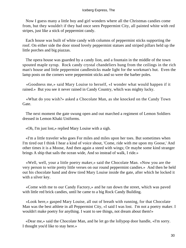Now I guess many a little boy and girl wonders where all the Christmas candies come from, but they wouldn't if they had once seen Peppermint City, all painted white with red stripes, just like a stick of peppermint candy.

 Each house was built of white candy with columns of peppermint sticks supporting the roof. On either side the door stood lovely peppermint statues and striped pillars held up the little porches and big piazzas.

 The opera house was guarded by a candy lion, and a fountain in the middle of the town spouted maple syrup. Rock candy crystal chandeliers hung from the ceilings in the rich man's house and little peppermint candlesticks made light for the workman's hut. Even the lamp posts on the corners were peppermint sticks and so were the barber poles.

 «Goodness me,» said Mary Louise to herself, «I wonder what would happen if it rained.» But you see it never rained in Candy Country, which was mighty lucky.

 «What do you wish?» asked a Chocolate Man, as she knocked on the Candy Town Gate.

 The next moment the gate swung open and out marched a regiment of Lemon Soldiers dressed in Lemon Khaki Uniforms.

«Oh, I'm just lost,» replied Mary Louise with a sigh.

 «I'm a little traveler who goes For miles and miles upon her toes. But sometimes when I'm tired out I think I hear a kind of voice shout, 'Come, ride with me upon my Goose,' And other times it is a Moose, And then again a steed with wings; Or maybe some kind stranger brings A ship that sails the ocean wide, And so instead of walk, I ride.»

 «Well, well, your a little poetry maker,» said the Chocolate Man. «Now you are the very person to write pretty little verses on our round peppermint candies.» And then he held out his chocolate hand and drew tired Mary Louise inside the gate, after which he locked it with a silver key.

 «Come with me to our Candy Factory,» and he ran down the street, which was paved with little red brick candies, until he came to a big Rock Candy Building.

 «Look here,» gasped Mary Louise, all out of breath with running, for that Chocolate Man was the best athlete in all Peppermint City, «I said I was lost. I'm not a poetry maker. I wouldn't make poetry for anything. I want to see things, not dream about them!»

 «Dear me,» said the Chocolate Man, and he let go the lollypop door handle, «I'm sorry. I thought you'd like to stay here.»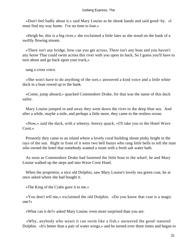«Don't feel badly about it,» said Mary Louise as he shook hands and said good−by. «I must find my way home. I've no time to lose.»

 «Heigh ho, this is a big river,» she exclaimed a little later as she stood on the bank of a swiftly flowing stream.

 «There isn't any bridge, how can you get across, There isn't any boat and you haven't any horse That could swim across this river with you upon its back, So I guess you'll have to turn about and go back upon your track,»

sang a cross voice.

 «She won't have to do anything of the sort,» answered a kind voice and a little white duck in a boat rowed up to the bank.

 «Come, jump aboard,» quacked Commodore Drake, for that was the name of this duck sailor.

 Mary Louise jumped in and away they went down the river to the deep blue sea. And after a while, maybe a mile, and perhaps a little more, they came to the restless ocean.

 «Now,» said the duck, with a wheezy, breezy quack, «I'll take you to the Hotel Wave Crest<sup>»</sup>

 Presently they came to an island where a lovely coral building shone pinky bright in the rays of the sun. Right in front of it were two bell buoys who rang little bells to tell the man who owned the hotel that somebody wanted a room with a fresh salt water bath.

 As soon as Commodore Drake had fastened the little boat to the wharf, he and Mary Louise walked up the steps and into Wave Crest Hotel.

 When the proprietor, a nice old Dolphin, saw Mary Louise's lovely sea green coat, he at once asked where she had bought it.

«The King of the Crabs gave it to me.»

 «You don't tell me,» exclaimed the old Dolphin. «Do you know that coat is a magic one?»

«What can it do?» asked Mary Louise, even more surprised than you are.

 «Why, anybody who wears it can swim like a fish,» answered the good−natured Dolphin. «It's better than a pair of water wings,» and he turned over three times and began to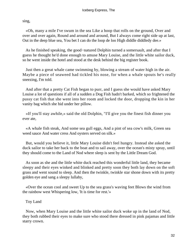sing,

 «Oh, many a mile I've swum in the sea Like a hoop that rolls on the ground, Over and over and over again, Round and around and around, But I always come right side up at last, Out in the deep blue sea, You bet I can do the loop de loo High diddle diddledy dee.»

 As he finished speaking, the good−natured Dolphin turned a somersault, and after that I guess he thought he'd done enough to amuse Mary Louise, and the little white sailor duck, so he went inside the hotel and stood at the desk behind the big register book.

 Just then a great whale came swimming by, blowing a stream of water high in the air. Maybe a piece of seaweed had tickled his nose, for when a whale spouts he's really sneezing, I'm told.

 And after that a pretty Cat Fish began to purr, and I guess she would have asked Mary Louise a lot of questions if all of a sudden a Dog Fish hadn't barked, which so frightened the pussy cat fish that she went into her room and locked the door, dropping the kin in her vanity bag which she hid under her pillow.

 «If you'll stay awhile,» said the old Dolphin, "I'll give you the finest fish dinner you ever ate,

 «A whale fish steak, And some sea gull eggs, And a pint of sea cow's milk, Green sea weed sauce And water cress And oysters served on silk.»

 But, would you believe it, little Mary Louise didn't feel hungry. Instead she asked the duck sailor to take her back to the boat and to sail away, over the ocean's misty spray, until they should come to the Land of Nod where sleep is sent by the Little Dream God.

 As soon as she and the little white duck reached this wonderful little land, they became sleepy and their eyes winked and blinked and pretty soon they both lay down on the soft grass and went sound to sleep. And then the twinkle, twinkle star shone down with its pretty golden eye and sang a sleepy lullaby,

 «Over the ocean cool and sweet Up to the sea grass's waving feet Blows the wind from the rainbow west Whispering low, 'It is time for rest.'»

Toy Land

 Now, when Mary Louise and the little white sailor duck woke up in the land of Nod, they both rubbed their eyes to make sure who stood there dressed in pink pajamas and little starry crown.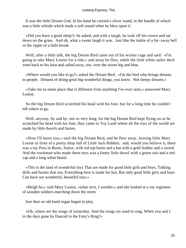It was the little Dream God. In his hand he carried a silver wand, in the handle of which was a little whistle which made a soft sound when he blew upon it.

 «Did you have a good sleep?» he asked, and with a laugh, he took off his crown and sat down on the grass. And oh, what a sweet laugh it was. Just like the tinkle of a far−away bell or the ripple of a little brook.

 Well, after a little talk, the big Dream Bird came out of his wicker cage and said: «I'm going to take Mary Louise for a ride,» and away he flew, while the little white sailor duck went back to his boat and sailed away, too, over the ocean big and blue.

 «Where would you like to go?» asked the Dream Bird. «I'm the bird who brings dreams to people. Dreams of doing great big wonderful things, you know. Not sleepy dreams.»

 «Take me to some place that is different from anything I've ever seen,» answered Mary Louise.

 So the big Dream Bird scratched his head with his foot, but for a long time he couldn't tell where to go.

 Well, anyway, by and by, not so very long, for the big Dream Bird kept flying on as he scratched his head with his foot, they came to Toy Land where all the toys of the world are made by little dwarfs and fairies.

 «Now I'll leave you,» said the big Dream Bird, and he flew away, leaving little Mary Louise in front of a pretty shop full of Little Jack Rabbits. and, would you believe it, there was a toy Puss in Boots, Junior, with red top boots and a hat with a gold feather and a sword. And the workman who made these toys was a funny little dwarf with a green suit and a red cap and a long white beard.

 «This is the land of wonderful toys That are made for good little girls and boys, Talking dolls and horses that run, Everything here is made for fun, But only good little girls and boys Can have our wonderful, beautiful toys.»

 «Heigh ho,» said Mary Louise, «what next, I wonder,» and she looked at a toy regiment of wooden soldiers marching down the street.

Just then an old hand organ began to play,

 «Oh, where are the songs of yesterday, And the songs we used to sing, When you and I in the days gone by Danced in the Fairy's Ring?»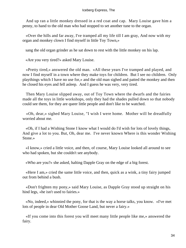And up ran a little monkey dressed in a red coat and cap. Mary Louise gave him a penny, to hand to the old man who had stopped to set another tune to the organ.

 «Over the hills and far away, I've tramped all my life till I am gray, And now with my organ and monkey clown I find myself in little Toy Town,»

sang the old organ grinder as he sat down to rest with the little monkey on his lap.

«Are you very tired?» asked Mary Louise.

 «Pretty tired,» answered the old man. «All these years I've tramped and played, and now I find myself in a town where they make toys for children. But I see no children. Only playthings which I have no use for,» and the old man sighed and patted the monkey and then he closed his eyes and fell asleep. And I guess he was very, very tired.

 Then Mary Louise slipped away, out of Toy Town where the dwarfs and the fairies made all the toys in little workshops, only they had the shades pulled down so that nobody could see them, for they are queer little people and don't like to be watched.

 «Oh, dear,» sighed Mary Louise, "I wish I were home. Mother will be dreadfully worried about me.

 «Oh, if I had a Wishing Stone I know what I would do I'd wish for lots of lovely things, And give a lot to you. But, Oh, dear me. I've never known Where is this wonder Wishing Stone.»

 «I know,» cried a little voice, and then, of course, Mary Louise looked all around to see who had spoken, but she couldn't see anybody.

«Who are you?» she asked, halting Dapple Gray on the edge of a big forest.

 «Here I am,» cried the same little voice, and then, quick as a wink, a tiny fairy jumped out from behind a bush.

 «Don't frighten my pony,» said Mary Louise, as Dapple Gray stood up straight on his hind legs, «he isn't used to fairies.»

 «No, indeed,» whinnied the pony, for that is the way a horse talks, you know. «I've met lots of people in dear Old Mother Goose Land, but never a fairy.»

 «If you come into this forest you will meet many little people like me,» answered the fairy.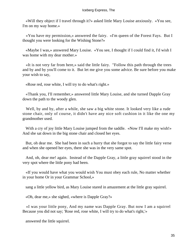«Will they object if I travel through it?» asked little Mary Louise anxiously. «You see, I'm on my way home.»

 «You have my permission,» answered the fairy. «I'm queen of the Forest Fays. But I thought you were looking for the Wishing Stone?»

 «Maybe I was,» answered Mary Louise. «You see, I thought if I could find it, I'd wish I was home with my dear mother.»

 «It is not very far from here,» said the little fairy. "Follow this path through the trees and by and by you'll come to it. But let me give you some advice. Be sure before you make your wish to say,

«Rose red, rose white, I will try to do what's right.»

 «Thank you, I'll remember,» answered little Mary Louise, and she turned Dapple Gray down the path to the woody glen.

 Well, by and by, after a while, she saw a big white stone. It looked very like a rude stone chair, only of course, it didn't have any nice soft cushion in it like the one my grandmother used.

With a cry of joy little Mary Louise jumped from the saddle. «Now I'll make my wish!» And she sat down in the big stone chair and closed her eyes.

 But, oh dear me. She had been in such a hurry that she forgot to say the little fairy verse and when she opened her eyes, there she was in the very same spot.

 And, oh, dear me! again. Instead of the Dapple Gray, a little gray squirrel stood in the very spot where the little pony had been.

 «If you would have what you would wish You must obey each rule, No matter whether in your home Or in your Grammar School,»

sang a little yellow bird, as Mary Louise stared in amazement at the little gray squirrel.

«Oh, dear me,» she sighed, «where is Dapple Gray?»

 «I was your little pony, And my name was Dapple Gray. But now I am a squirrel Because you did not say; 'Rose red, rose white, I will try to do what's right,'»

answered the little squirrel.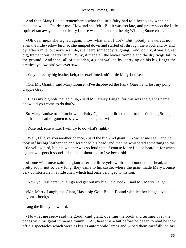And then Mary Louise remembered what the little fairy had told her to say when she made the wish. Oh, dear me. How sad she felt! But it was too late, and pretty soon the little squirrel ran away, and poor Mary Louise was left alone in the big Wishing Stone chair.

 «Oh dear me,» she sighed again, «now what shall I do?» But nobody answered, not even the little yellow bird, so she jumped down and started off through the wood, and by and by, after a mile, but never a smile, she heard somebody laughing. And, oh my, it was a great big, tremendous hearty laugh. Why, it made all the leaves tremble and the dry twigs fall to the ground. And then, all of a sudden, a giant walked by, carrying on his big finger the prettiest yellow bird you ever saw.

«Why bless my big leather belt,» he exclaimed, «it's little Mary Louise.»

 «Oh, Mr. Giant,» said Mary Louise, «I've disobeyed the Fairy Queen and lost my pony Dapple Gray.»

 «Bless my big hob−nailed club,» said Mr. Merry Laugh, for this was the giant's name, «how did you come to do that?»

 So Mary Louise told him how the Fairy Queen had directed her to the Wishing Stone, but that she had forgotten to say when making her wish,

«Rose red, rose white, I will try to do what's right.»

 «Well, I'll give you another chance,» said the big kind giant. «Now let me see,» and he took off his big leather cap and scratched his head, and then he whispered something to the little yellow bird, but his whisper was so loud that of course Mary Louise heard it, for when a giant whispers it sounds like a man shouting, so I've been told.

 «Come with me,» said the giant after the little yellow bird had nodded her head, and pretty soon, not so very long, they came to his castle, where the giant made Mary Louise very comfortable in a little chair which had once belonged to his son.

«Now you rest here while I go and get out my big Gold Book,» said Mr. Merry Laugh.

 «Mr. Merry Laugh, the Giant, Has a big Gold Book, Bound with leather hinges And a big brass hook,»

sang the little yellow bird.

 «Now let me see,» said the good, kind giant, opening the book and turning over the pages with his great immense thumb. «Ah, here it is,» but before he began to read he took off his spectacles which were as big as automobile lamps and wiped them carefully on his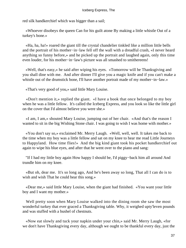red silk handkerchief which was bigger than a sail;

 «Whoever disobeys the queen Can for his guilt atone By making a little whistle Out of a turkey's bone.»

 «Ha, ha, ha!» roared the giant till the crystal chandelier tinkled like a million little bells and the portrait of his mother−in−law fell off the wall with a dreadful crash, «I never heard anything so funny before,» and he picked up the portrait and laughed again, only this time even louder, for his mother−in−law's picture was all smashed to smithereens!

 «Well, that's easy,» he said after wiping his eyes. «Tomorrow will be Thanksgiving and you shall dine with me. And after dinner I'll give you a magic knife and if you can't make a whistle out of the drumstick bone, I'll have another portrait made of my mother−in−law.»

«That's very good of you,» said little Mary Louise.

 «Don't mention it,» replied the giant. «I have a book that once belonged to my boy when he was a little fellow. It's called the Iceberg Express, and you look so like the little girl on the cover that I'd almost believe you were she.»

 «I am, I am,» shouted Mary Louise, jumping out of her chair. «And that's the reason I wanted to sit in the big Wishing Stone chair. I was going to wish I was home with mother.»

 «You don't say so,» exclaimed Mr. Merry Laugh. «Well, well, well. It takes me back to the time when my boy was a little fellow and sat on my knee to hear me read Little Journeys to Happyland. How time flies!» And the big kind giant took his pocket handkerchief out again to wipe his blue eyes, and after that he went over to the piano and sang:

 "If I had my little boy again How happy I should be, I'd piggy−back him all around And trundle him on my knee.

 «But oh, dear me. It's so long ago, And he's been away so long, That all I can do is to wish and wish That he could hear this song.»

 «Dear me,» said little Mary Louise, when the giant had finished. «You want your little boy and I want my mother.»

 Well pretty soon when Mary Louise walked into the dining room she saw the most wonderful turkey that ever graced a Thanksgiving table. Why, it weighed upty'leven pounds and was stuffed with a bushel of chestnuts.

 «Now eat slowly and tuck your napkin under your chin,» said Mr. Merry Laugh, «for we don't have Thanksgiving every day, although we ought to be thankful every day, just the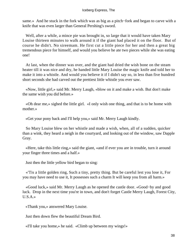same.» And he stuck in the fork which was as big as a pitch−fork and began to carve with a knife that was even larger than General Pershing's sword.

 Well, after a while, a mince pie was brought in, so large that it would have taken Mary Louise thirteen minutes to walk around it if the giant had placed it on the floor. But of course he didn't. No sireemam. He first cut a little piece for her and then a great big tremendous piece for himself, and would you believe he ate two pieces while she was eating one!

 At last, when the dinner was over, and the giant had dried the wish bone on the steam heater till it was nice and dry, he handed little Mary Louise the magic knife and told her to make it into a whistle. And would you believe it if I didn't say so, in less than five hundred short seconds she had carved out the prettiest little whistle you ever saw.

 «Now, little girl,» said Mr. Merry Laugh, «blow on it and make a wish. But don't make the same wish you did before.»

 «Oh dear me,» sighed the little girl. «I only wish one thing, and that is to be home with mother.»

«Get your pony back and I'll help you,» said Mr. Merry Laugh kindly.

 So Mary Louise blew on her whistle and made a wish, when, all of a sudden, quicker than a wink, they heard a neigh in the courtyard, and looking out of the window, saw Dapple Gray.

 «Here, take this little ring,» said the giant, «and if ever you are in trouble, turn it around your finger three times and a half.»

Just then the little yellow bird began to sing:

 «'Tis a little golden ring, Such a tiny, pretty thing. But be careful lest you lose it, For you may have need to use it, It possesses such a charm It will keep you from all harm.»

 «Good luck,» said Mr. Merry Laugh as he opened the castle door. «Good−by and good luck. Drop in the next time you're in town, and don't forget Castle Merry Laugh, Forest City,  $U.S.A.$ 

«Thank you,» answered Mary Louise.

Just then down flew the beautiful Dream Bird.

«I'll take you home,» he said. «Climb up between my wings!»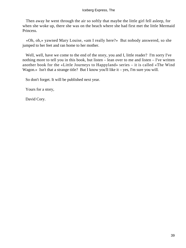Then away he went through the air so softly that maybe the little girl fell asleep, for when she woke up, there she was on the beach where she had first met the little Mermaid Princess.

 «Oh, oh,» yawned Mary Louise, «am I really here?» But nobody answered, so she jumped to her feet and ran home to her mother.

 Well, well, have we come to the end of the story, you and I, little reader? I'm sorry I've nothing more to tell you in this book, but listen – lean over to me and listen – I've written another book for the «Little Journeys to Happyland» series – it is called «The Wind Wagon.» Isn't that a strange title? But I know you'll like it – yes, I'm sure you will.

So don't forget. It will be published next year.

Yours for a story,

David Cory.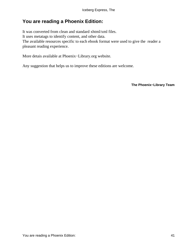# <span id="page-41-0"></span>**You are reading a Phoenix Edition:**

It was converted from clean and standard xhtml/xml files. It uses metatags to identify content, and other data. The available resources specific to each ebook format were used to give the reader a pleasant reading experience.

More detais available at Phoenix−Library.org website.

Any suggestion that helps us to improve these editions are welcome.

**The Phoenix−Library Team**